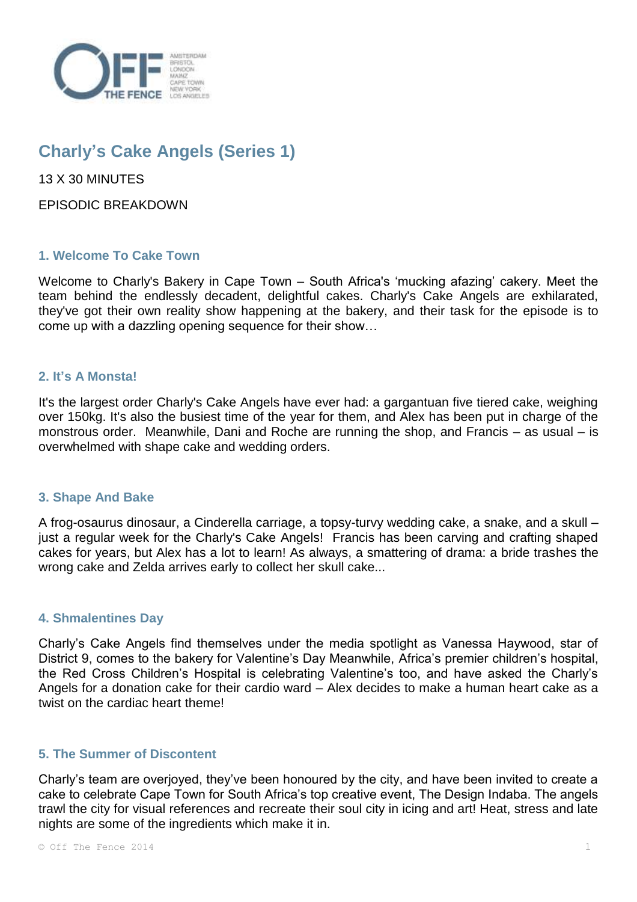

# **Charly's Cake Angels (Series 1)**

13 X 30 MINUTES

EPISODIC BREAKDOWN

# **1. Welcome To Cake Town**

Welcome to Charly's Bakery in Cape Town – South Africa's 'mucking afazing' cakery. Meet the team behind the endlessly decadent, delightful cakes. Charly's Cake Angels are exhilarated, they've got their own reality show happening at the bakery, and their task for the episode is to come up with a dazzling opening sequence for their show…

# **2. It's A Monsta!**

It's the largest order Charly's Cake Angels have ever had: a gargantuan five tiered cake, weighing over 150kg. It's also the busiest time of the year for them, and Alex has been put in charge of the monstrous order. Meanwhile, Dani and Roche are running the shop, and Francis – as usual – is overwhelmed with shape cake and wedding orders.

# **3. Shape And Bake**

A frog-osaurus dinosaur, a Cinderella carriage, a topsy-turvy wedding cake, a snake, and a skull – just a regular week for the Charly's Cake Angels! Francis has been carving and crafting shaped cakes for years, but Alex has a lot to learn! As always, a smattering of drama: a bride trashes the wrong cake and Zelda arrives early to collect her skull cake...

# **4. Shmalentines Day**

Charly's Cake Angels find themselves under the media spotlight as Vanessa Haywood, star of District 9, comes to the bakery for Valentine's Day Meanwhile, Africa's premier children's hospital, the Red Cross Children's Hospital is celebrating Valentine's too, and have asked the Charly's Angels for a donation cake for their cardio ward – Alex decides to make a human heart cake as a twist on the cardiac heart theme!

# **5. The Summer of Discontent**

Charly's team are overjoyed, they've been honoured by the city, and have been invited to create a cake to celebrate Cape Town for South Africa's top creative event, The Design Indaba. The angels trawl the city for visual references and recreate their soul city in icing and art! Heat, stress and late nights are some of the ingredients which make it in.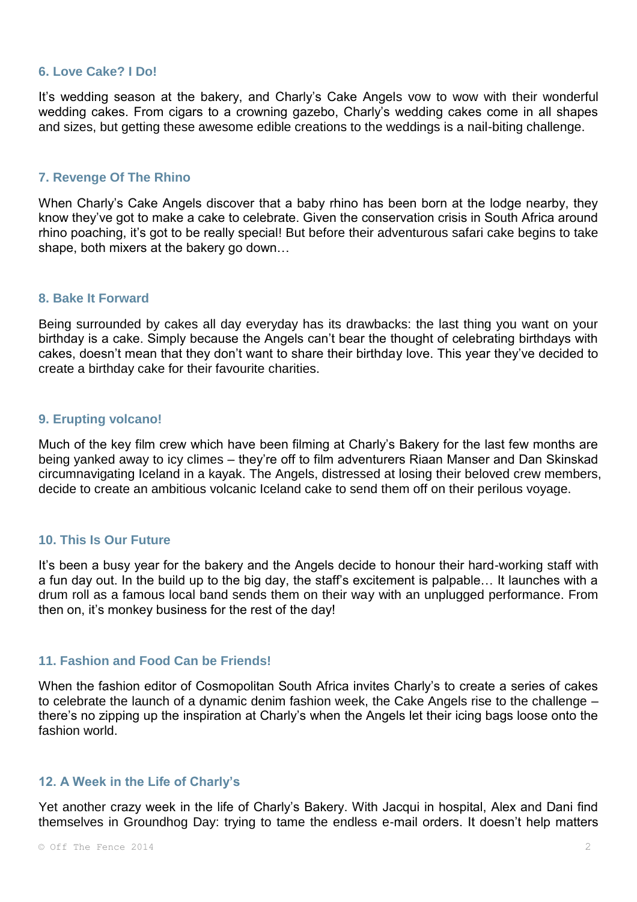#### **6. Love Cake? I Do!**

It's wedding season at the bakery, and Charly's Cake Angels vow to wow with their wonderful wedding cakes. From cigars to a crowning gazebo, Charly's wedding cakes come in all shapes and sizes, but getting these awesome edible creations to the weddings is a nail-biting challenge.

## **7. Revenge Of The Rhino**

When Charly's Cake Angels discover that a baby rhino has been born at the lodge nearby, they know they've got to make a cake to celebrate. Given the conservation crisis in South Africa around rhino poaching, it's got to be really special! But before their adventurous safari cake begins to take shape, both mixers at the bakery go down…

#### **8. Bake It Forward**

Being surrounded by cakes all day everyday has its drawbacks: the last thing you want on your birthday is a cake. Simply because the Angels can't bear the thought of celebrating birthdays with cakes, doesn't mean that they don't want to share their birthday love. This year they've decided to create a birthday cake for their favourite charities.

#### **9. Erupting volcano!**

Much of the key film crew which have been filming at Charly's Bakery for the last few months are being yanked away to icy climes – they're off to film adventurers Riaan Manser and Dan Skinskad circumnavigating Iceland in a kayak. The Angels, distressed at losing their beloved crew members, decide to create an ambitious volcanic Iceland cake to send them off on their perilous voyage.

## **10. This Is Our Future**

It's been a busy year for the bakery and the Angels decide to honour their hard-working staff with a fun day out. In the build up to the big day, the staff's excitement is palpable… It launches with a drum roll as a famous local band sends them on their way with an unplugged performance. From then on, it's monkey business for the rest of the day!

## **11. Fashion and Food Can be Friends!**

When the fashion editor of Cosmopolitan South Africa invites Charly's to create a series of cakes to celebrate the launch of a dynamic denim fashion week, the Cake Angels rise to the challenge – there's no zipping up the inspiration at Charly's when the Angels let their icing bags loose onto the fashion world.

## **12. A Week in the Life of Charly's**

Yet another crazy week in the life of Charly's Bakery. With Jacqui in hospital, Alex and Dani find themselves in Groundhog Day: trying to tame the endless e-mail orders. It doesn't help matters